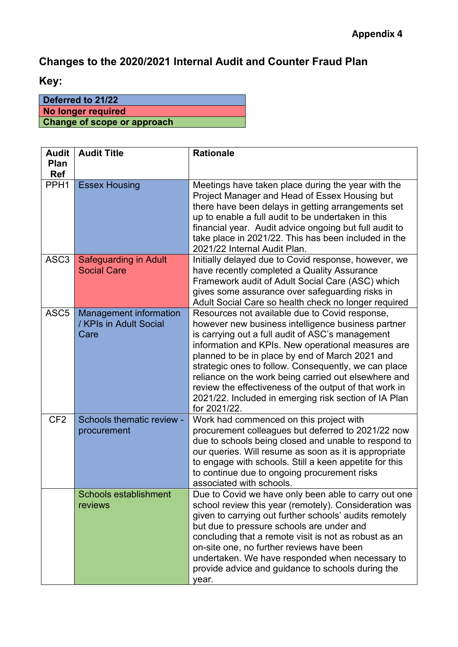## **Changes to the 2020/2021 Internal Audit and Counter Fraud Plan**

**Key:** 

**Deferred to 21/22 No longer required Change of scope or approach** 

| <b>Audit</b>       | <b>Audit Title</b>                                              | <b>Rationale</b>                                                                                                                                                                                                                                                                                                                                                                                                                                                                                                     |
|--------------------|-----------------------------------------------------------------|----------------------------------------------------------------------------------------------------------------------------------------------------------------------------------------------------------------------------------------------------------------------------------------------------------------------------------------------------------------------------------------------------------------------------------------------------------------------------------------------------------------------|
| Plan<br><b>Ref</b> |                                                                 |                                                                                                                                                                                                                                                                                                                                                                                                                                                                                                                      |
| PPH <sub>1</sub>   | <b>Essex Housing</b>                                            | Meetings have taken place during the year with the<br>Project Manager and Head of Essex Housing but<br>there have been delays in getting arrangements set<br>up to enable a full audit to be undertaken in this<br>financial year. Audit advice ongoing but full audit to<br>take place in 2021/22. This has been included in the<br>2021/22 Internal Audit Plan.                                                                                                                                                    |
| ASC <sub>3</sub>   | <b>Safeguarding in Adult</b><br><b>Social Care</b>              | Initially delayed due to Covid response, however, we<br>have recently completed a Quality Assurance<br>Framework audit of Adult Social Care (ASC) which<br>gives some assurance over safeguarding risks in<br>Adult Social Care so health check no longer required                                                                                                                                                                                                                                                   |
| ASC <sub>5</sub>   | <b>Management information</b><br>/ KPIs in Adult Social<br>Care | Resources not available due to Covid response,<br>however new business intelligence business partner<br>is carrying out a full audit of ASC's management<br>information and KPIs. New operational measures are<br>planned to be in place by end of March 2021 and<br>strategic ones to follow. Consequently, we can place<br>reliance on the work being carried out elsewhere and<br>review the effectiveness of the output of that work in<br>2021/22. Included in emerging risk section of IA Plan<br>for 2021/22. |
| CF <sub>2</sub>    | Schools thematic review -<br>procurement                        | Work had commenced on this project with<br>procurement colleagues but deferred to 2021/22 now<br>due to schools being closed and unable to respond to<br>our queries. Will resume as soon as it is appropriate<br>to engage with schools. Still a keen appetite for this<br>to continue due to ongoing procurement risks<br>associated with schools.                                                                                                                                                                 |
|                    | Schools establishment<br>reviews                                | Due to Covid we have only been able to carry out one<br>school review this year (remotely). Consideration was<br>given to carrying out further schools' audits remotely<br>but due to pressure schools are under and<br>concluding that a remote visit is not as robust as an<br>on-site one, no further reviews have been<br>undertaken. We have responded when necessary to<br>provide advice and guidance to schools during the<br>year.                                                                          |